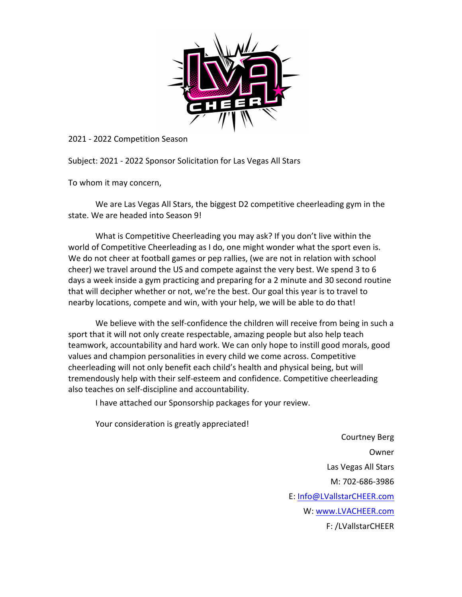

2021 - 2022 Competition Season

Subject: 2021 - 2022 Sponsor Solicitation for Las Vegas All Stars

To whom it may concern,

We are Las Vegas All Stars, the biggest D2 competitive cheerleading gym in the state. We are headed into Season 9!

What is Competitive Cheerleading you may ask? If you don't live within the world of Competitive Cheerleading as I do, one might wonder what the sport even is. We do not cheer at football games or pep rallies, (we are not in relation with school cheer) we travel around the US and compete against the very best. We spend 3 to 6 days a week inside a gym practicing and preparing for a 2 minute and 30 second routine that will decipher whether or not, we're the best. Our goal this year is to travel to nearby locations, compete and win, with your help, we will be able to do that!

We believe with the self-confidence the children will receive from being in such a sport that it will not only create respectable, amazing people but also help teach teamwork, accountability and hard work. We can only hope to instill good morals, good values and champion personalities in every child we come across. Competitive cheerleading will not only benefit each child's health and physical being, but will tremendously help with their self-esteem and confidence. Competitive cheerleading also teaches on self-discipline and accountability.

I have attached our Sponsorship packages for your review.

Your consideration is greatly appreciated!

Courtney Berg Owner Las Vegas All Stars M: 702-686-3986 E: Info@LVallstarCHEER.com W: www.LVACHEER.com F: /LVallstarCHEER